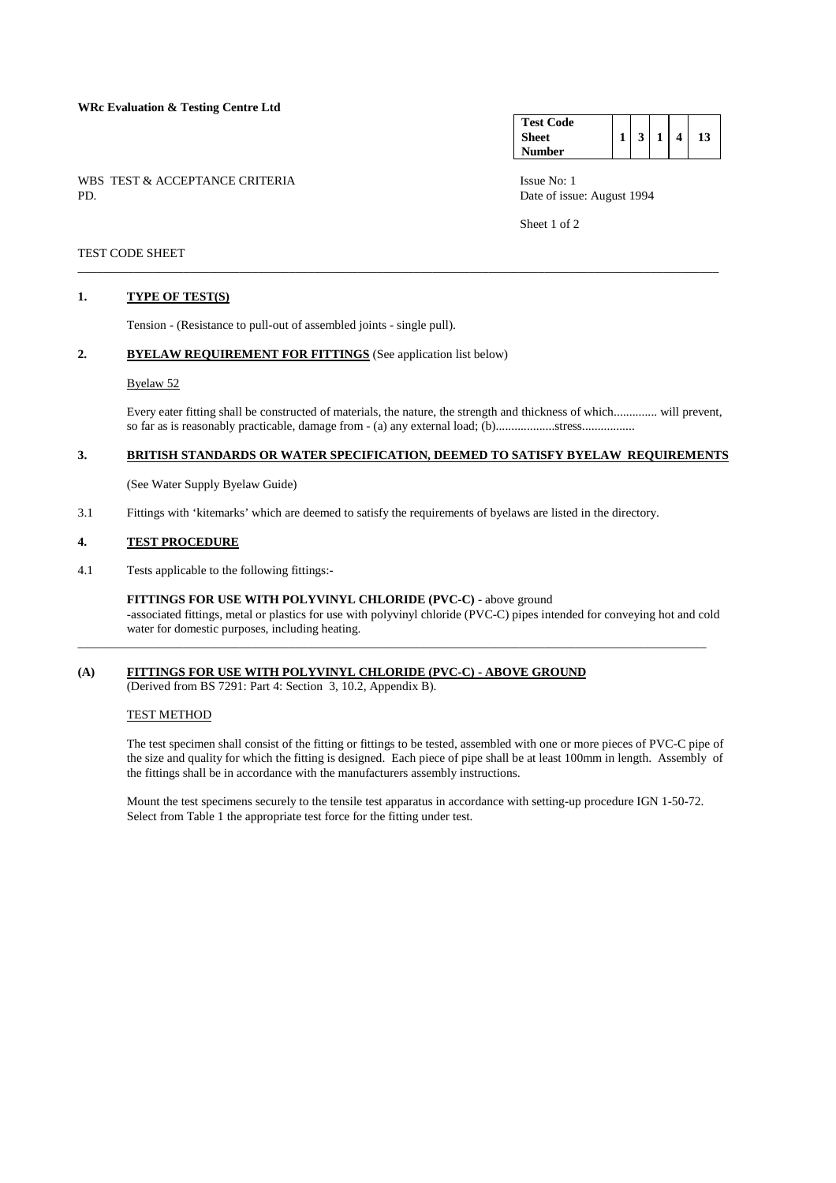# **WRc Evaluation & Testing Centre Ltd**

WBS TEST & ACCEPTANCE CRITERIA Issue No: 1<br>PD Date of issue

**Test Code Sheet Number 1 3 1 4 13** 

Date of issue: August 1994

Sheet 1 of 2

# TEST CODE SHEET

### **1. TYPE OF TEST(S)**

Tension - (Resistance to pull-out of assembled joints - single pull).

# 2. BYELAW REQUIREMENT FOR FITTINGS (See application list below)

### Byelaw 52

 Every eater fitting shall be constructed of materials, the nature, the strength and thickness of which.............. will prevent, so far as is reasonably practicable, damage from - (a) any external load; (b)...................stress.................

# **3. BRITISH STANDARDS OR WATER SPECIFICATION, DEEMED TO SATISFY BYELAW REQUIREMENTS**

\_\_\_\_\_\_\_\_\_\_\_\_\_\_\_\_\_\_\_\_\_\_\_\_\_\_\_\_\_\_\_\_\_\_\_\_\_\_\_\_\_\_\_\_\_\_\_\_\_\_\_\_\_\_\_\_\_\_\_\_\_\_\_\_\_\_\_\_\_\_\_\_\_\_\_\_\_\_\_\_\_\_\_\_\_\_\_\_\_\_\_\_\_\_\_\_\_\_\_\_\_\_\_

(See Water Supply Byelaw Guide)

3.1 Fittings with 'kitemarks' which are deemed to satisfy the requirements of byelaws are listed in the directory.

#### **4. TEST PROCEDURE**

4.1 Tests applicable to the following fittings:-

 **FITTINGS FOR USE WITH POLYVINYL CHLORIDE (PVC-C)** - above ground -associated fittings, metal or plastics for use with polyvinyl chloride (PVC-C) pipes intended for conveying hot and cold water for domestic purposes, including heating.

\_\_\_\_\_\_\_\_\_\_\_\_\_\_\_\_\_\_\_\_\_\_\_\_\_\_\_\_\_\_\_\_\_\_\_\_\_\_\_\_\_\_\_\_\_\_\_\_\_\_\_\_\_\_\_\_\_\_\_\_\_\_\_\_\_\_\_\_\_\_\_\_\_\_\_\_\_\_\_\_\_\_\_\_\_\_\_\_\_\_\_\_\_\_\_\_\_\_\_\_\_

# **(A) FITTINGS FOR USE WITH POLYVINYL CHLORIDE (PVC-C) - ABOVE GROUND**

(Derived from BS 7291: Part 4: Section 3, 10.2, Appendix B).

### TEST METHOD

 The test specimen shall consist of the fitting or fittings to be tested, assembled with one or more pieces of PVC-C pipe of the size and quality for which the fitting is designed. Each piece of pipe shall be at least 100mm in length. Assembly of the fittings shall be in accordance with the manufacturers assembly instructions.

 Mount the test specimens securely to the tensile test apparatus in accordance with setting-up procedure IGN 1-50-72. Select from Table 1 the appropriate test force for the fitting under test.